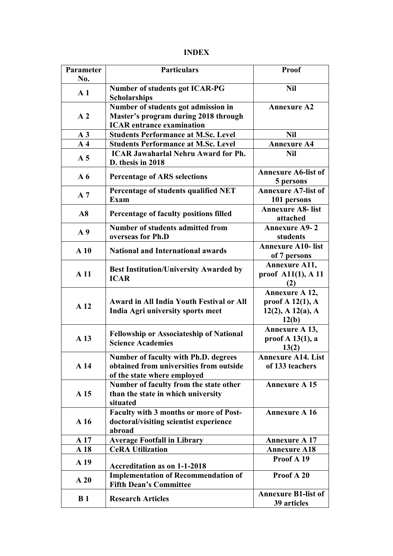## **INDEX**

| Parameter<br>No. | <b>Particulars</b>                                                                                                    | Proof                                                                      |
|------------------|-----------------------------------------------------------------------------------------------------------------------|----------------------------------------------------------------------------|
| A <sub>1</sub>   | <b>Number of students got ICAR-PG</b><br><b>Scholarships</b>                                                          | <b>Nil</b>                                                                 |
| A <sub>2</sub>   | Number of students got admission in<br>Master's program during 2018 through<br><b>ICAR</b> entrance examination       | <b>Annexure A2</b>                                                         |
| A <sub>3</sub>   | <b>Students Performance at M.Sc. Level</b>                                                                            | <b>Nil</b>                                                                 |
| A <sub>4</sub>   | <b>Students Performance at M.Sc. Level</b>                                                                            | <b>Annexure A4</b>                                                         |
| A <sub>5</sub>   | <b>ICAR Jawaharlal Nehru Award for Ph.</b><br>D. thesis in 2018                                                       | <b>Nil</b>                                                                 |
| $A\,6$           | <b>Percentage of ARS selections</b>                                                                                   | <b>Annexure A6-list of</b><br>5 persons                                    |
| A <sub>7</sub>   | Percentage of students qualified NET<br>Exam                                                                          | <b>Annexure A7-list of</b><br>101 persons                                  |
| $\bf{A8}$        | Percentage of faculty positions filled                                                                                | <b>Annexure A8- list</b><br>attached                                       |
| A <sub>9</sub>   | <b>Number of students admitted from</b><br>overseas for Ph.D                                                          | <b>Annexure A9-2</b><br>students                                           |
| A10              | <b>National and International awards</b>                                                                              | <b>Annexure A10- list</b><br>of 7 persons                                  |
| A <sub>11</sub>  | <b>Best Institution/University Awarded by</b><br><b>ICAR</b>                                                          | Annexure A11,<br>proof A11(1), A 11<br>(2)                                 |
| A <sub>12</sub>  | <b>Award in All India Youth Festival or All</b><br>India Agri university sports meet                                  | Annexure A 12,<br>proof $A$ 12(1), $A$<br>$12(2)$ , A $12(a)$ , A<br>12(b) |
| A 13             | <b>Fellowship or Associateship of National</b><br><b>Science Academies</b>                                            | Annexure A 13,<br>proof $A$ 13(1), a<br>13(2)                              |
| A <sub>14</sub>  | <b>Number of faculty with Ph.D. degrees</b><br>obtained from universities from outside<br>of the state where employed | <b>Annexure A14. List</b><br>of 133 teachers                               |
| A 15             | Number of faculty from the state other<br>than the state in which university<br>situated                              | <b>Annexure A 15</b>                                                       |
| A <sub>16</sub>  | <b>Faculty with 3 months or more of Post-</b><br>doctoral/visiting scientist experience<br>abroad                     | <b>Annexure A 16</b>                                                       |
| A 17             | <b>Average Footfall in Library</b>                                                                                    | <b>Annexure A 17</b>                                                       |
| A <sub>18</sub>  | <b>CeRA Utilization</b>                                                                                               | <b>Annexure A18</b>                                                        |
| A 19             | <b>Accreditation as on 1-1-2018</b>                                                                                   | Proof A 19                                                                 |
| A20              | <b>Implementation of Recommendation of</b><br><b>Fifth Dean's Committee</b>                                           | Proof A 20                                                                 |
| B <sub>1</sub>   | <b>Research Articles</b>                                                                                              | <b>Annexure B1-list of</b><br>39 articles                                  |